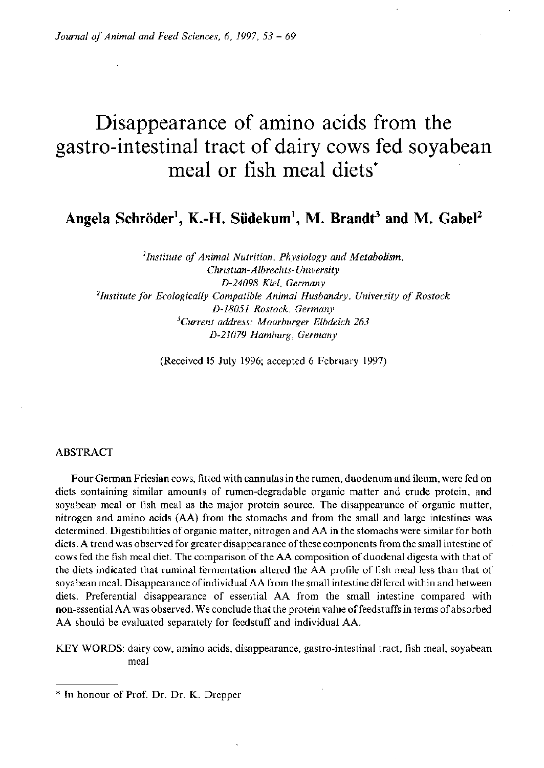# Disappearance of amino acids from the gastro-intestinal tract of dairy cows fed soyabean meal or fish meal diets\*

**Angela Schroder<sup>1</sup> , K.-H. Siidekum<sup>1</sup> , M. Brandt<sup>3</sup> and M. Gabel<sup>2</sup>**

*'Institute of Animal Nutrition, Physiology and Metabolism, Christian-Albrechts- University D-24098 Kiel, Germany 'Institute for Ecologically Compatible Animal Husbandry, University of Rostock D-18051 Rostock, Germany 'Current address: Moorburger Elbdeich 263 D-21079 Hamburg, Germany* 

(Received 15 July 1996; accepted 6 February 1997)

#### ABSTRACT

Four German Friesian cows, fitted with cannulas in the rumen, duodenum and ileum, were fed on diets containing similar amounts of rumen-degradable organic matter and crude protein, and soyabean meal or fish meal as the major protein source. The disappearance of organic matter, nitrogen and amino acids (AA) from the stomachs and from the small and large intestines was determined. Digestibilities of organic matter, nitrogen and AA in the stomachs were similar for both diets. A trend was observed for greater disappearance of these components from the small intestine of cows fed the fish meal diet. The comparison of the AA composition of duodenal digesta with that of the diets indicated that ruminal fermentation altered the AA profile of fish meal less than that of soyabean meal. Disappearance of individual AA from the small intestine differed within and between diets. Preferential disappearance of essential AA from the small intestine compared with non-essential AA was observed. We conclude that the protein value of feedstuffs in terms of absorbed AA should be evaluated separately for feedstuff and individual AA.

KEY WORDS: dairy cow, amino acids, disappearance, gastro-intestinal tract, fish meal, soyabean meal

\* In honour of Prof. Dr. Dr. K. Drepper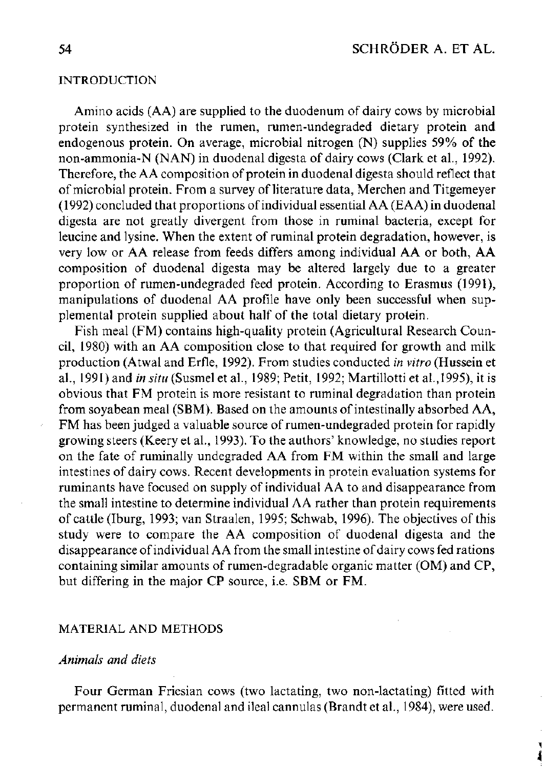# INTRODUCTION

Amino acids (AA) are supplied to the duodenum of dairy cows by microbial protein synthesized in the rumen, rumen-undegraded dietary protein and endogenous protein. On average, microbial nitrogen (N) supplies 59% of the non-ammonia-N (NAN) in duodenal digesta of dairy cows (Clark et al., 1992). Therefore, the AA composition of protein in duodenal digesta should reflect that of microbial protein. From a survey of literature data, Merchen and Titgemeyer (1992) concluded that proportions of individual essential A A (EAA) in duodenal digesta are not greatly divergent from those in ruminal bacteria, except for leucine and lysine. When the extent of ruminal protein degradation, however, is very low or AA release from feeds differs among individual AA or both, AA composition of duodenal digesta may be altered largely due to a greater proportion of rumen-undegraded feed protein. According to Erasmus (1991), manipulations of duodenal AA profile have only been successful when supplemental protein supplied about half of the total dietary protein.

Fish meal (FM) contains high-quality protein (Agricultural Research Council, 1980) with an AA composition close to that required for growth and milk production (Atwal and Erfle, 1992). From studies conducted *in vitro* (Hussein et al., 1991) and *in situ* (Susmel et al., 1989; Petit, 1992; Martillotti et al.,1995), it is obvious that FM protein is more resistant to ruminal degradation than protein from soyabean meal (SBM). Based on the amounts of intestinally absorbed AA, FM has been judged a valuable source of rumen-undegraded protein for rapidly growing steers (Keery et al., 1993). To the authors' knowledge, no studies report on the fate of ruminally undegraded AA from FM within the small and large intestines of dairy cows. Recent developments in protein evaluation systems for ruminants have focused on supply of individual AA to and disappearance from the small intestine to determine individual AA rather than protein requirements of cattle (Iburg, 1993; van Straalen, 1995; Schwab, 1996). The objectives of this study were to compare the AA composition of duodenal digesta and the disappearance of individual AA from the small intestine of dairy cows fed rations containing similar amounts of rumen-degradable organic matter (OM) and CP, but differing in the major CP source, i.e. SBM or FM.

# MATERIAL AND METHODS

# *Animals and diets*

Four German Friesian cows (two lactating, two non-lactating) fitted with permanent ruminal, duodenal and ileal cannulas (Brandt et al., 1984), were used.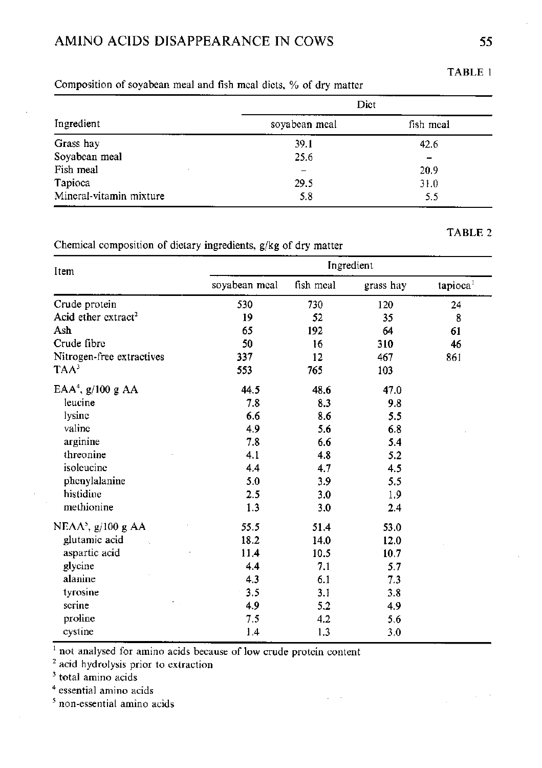# AMINO ACIDS DISAPPEARANCE IN COWS 55

|                         | Dict          |           |  |  |
|-------------------------|---------------|-----------|--|--|
| Ingredient              | soyabean meal | fish meal |  |  |
| Grass hay               | 39.1          | 42.6      |  |  |
| Soyabean meal           | 25.6          |           |  |  |
| Fish meal               |               | 20.9      |  |  |
| Tapioca                 | 29.5          | 31.0      |  |  |
| Mineral-vitamin mixture | 5.8           | 5.5       |  |  |

# Composition of soyabean meal and fish meal diets, % of dry matter

Chemical composition of dietary ingredients, g/kg of dry matter

| Item                            |               |           | Ingredient |                      |
|---------------------------------|---------------|-----------|------------|----------------------|
|                                 | soyabean meal | fish meal | grass hay  | tapioca <sup>1</sup> |
| Crude protein                   | 530           | 730       | 120        | 24                   |
| Acid ether extract <sup>2</sup> | 19            | 52        | 35         | 8                    |
| Ash                             | 65            | 192       | 64         | 61                   |
| Crude fibre                     | 50            | 16        | 310        | 46                   |
| Nitrogen-free extractives       | 337           | 12        | 467        | 861                  |
| TAA <sup>3</sup>                | 553           | 765       | 103        |                      |
| $EAA4$ , g/100 g AA             | 44.5          | 48.6      | 47.0       |                      |
| leucine                         | 7.8           | 8.3       | 9.8        |                      |
| lysine                          | 6.6           | 8.6       | 5.5        |                      |
| valine                          | 4.9           | 5.6       | 6.8        |                      |
| arginine                        | 7.8           | 6.6       | 5.4        |                      |
| threonine                       | 4.1           | 4.8       | 5.2        |                      |
| isoleucine                      | 4.4           | 4.7       | 4.5        |                      |
| phenylalanine                   | 5.0           | 3.9       | 5.5        |                      |
| histidine                       | 2.5           | 3.0       | 1.9        |                      |
| methionine                      | 1.3           | 3.0       | 2.4        |                      |
| NEA $A^5$ , g/100 g AA          | 55.5          | 51.4      | 53.0       |                      |
| glutamic acid                   | 18.2          | 14.0      | 12.0       |                      |
| aspartic acid                   | 11.4          | 10.5      | 10.7       |                      |
| glycine                         | 4.4           | 7.1       | 5.7        |                      |
| alanine                         | 4.3           | 6.1       | 7.3        |                      |
| tyrosine                        | 3.5           | 3.1       | 3.8        |                      |
| serine                          | 4.9           | 5.2       | 4.9        |                      |
| proline                         | 7.5           | 4.2       | 5.6        |                      |
| cystine                         | 1.4           | 1.3       | 3.0        |                      |

 $\ddot{\phantom{a}}$ 

<sup>1</sup> not analysed for amino acids because of low crude protein content  $2^2$  acid hydrolysis prior to extraction  $3^3$  total amino acids

4 essential amino acids

5 non-essential amino acids

TABLE 1

TABLE 2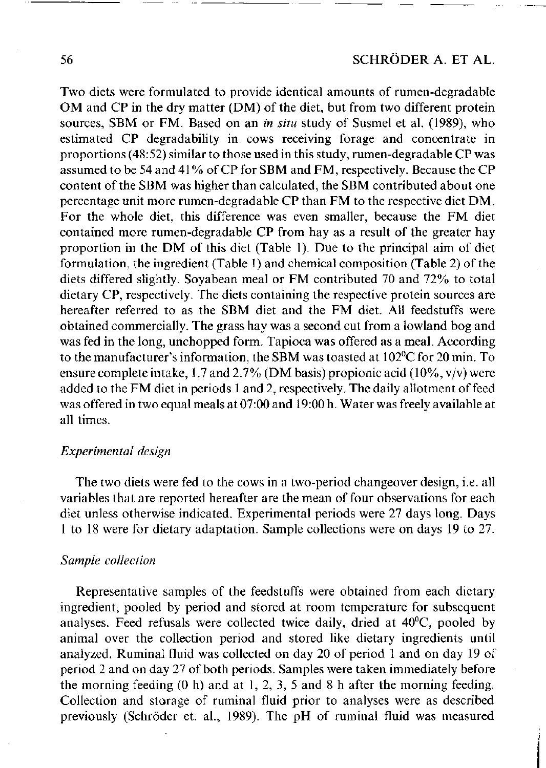Two diets were formulated to provide identical amounts of rumen-degradable OM and CP in the dry matter (DM) of the diet, but from two different protein sources, SBM or FM. Based on an *in situ* study of Susmel et al. (1989), who estimated CP degradability in cows receiving forage and concentrate in proportions (48:52) similar to those used in this study, rumen-degradable CP was assumed to be 54 and 41 % of CP for SBM and FM, respectively. Because the CP content of the SBM was higher than calculated, the SBM contributed about one percentage unit more rumen-degradable CP than FM to the respective diet DM . For the whole diet, this difference was even smaller, because the FM diet contained more rumen-degradable CP from hay as a result of the greater hay proportion in the DM of this diet (Table 1). Due to the principal aim of diet formulation, the ingredient (Table 1) and chemical composition (Table 2) of the diets differed slightly. Soyabean meal or FM contributed 70 and 72% to total dietary CP, respectively. The diets containing the respective protein sources are hereafter referred to as the SBM diet and the FM diet. All feedstuffs were obtained commercially. The grass hay was a second cut from a lowland bog and was fed in the long, unchopped form. Tapioca was offered as a meal. According to the manufacturer's information, the SBM was toasted at 102°C for 20 min. To ensure complete intake, 1.7 and 2.7% (DM basis) propionic acid (10%,  $v/v$ ) were added to the FM diet in periods 1 and 2, respectively. The daily allotment of feed was offered in two equal meals at 07:00 and 19:00 h. Water was freely available at all times.

# *Experimental design*

The two diets were fed to the cows in a two-period changeover design, i.e. all variables that are reported hereafter are the mean of four observations for each diet unless otherwise indicated. Experimental periods were 27 days long. Days 1 to 18 were for dietary adaptation. Sample collections were on days 19 to 27.

#### *Sample collection*

Representative samples of the feedstuffs were obtained from each dietary ingredient, pooled by period and stored at room temperature for subsequent analyses. Feed refusals were collected twice daily, dried at 40°C, pooled by animal over the collection period and stored like dietary ingredients until analyzed. Ruminal fluid was collected on day 20 of period 1 and on day 19 of period 2 and on day 27 of both periods. Samples were taken immediately before the morning feeding (0 h) and at 1, 2, 3, 5 and 8 h after the morning feeding. Collection and storage of ruminal fluid prior to analyses were as described previously (Schroder et. al., 1989). The pH of ruminal fluid was measured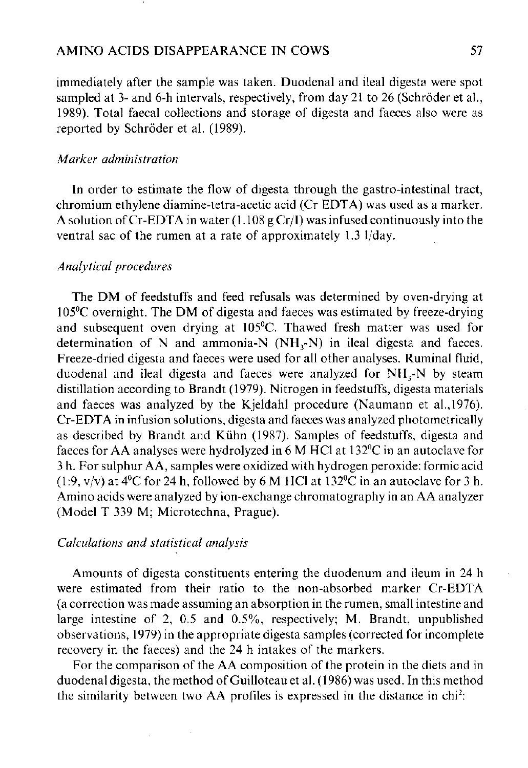immediately after the sample was taken. Duodenal and ileal digesta were spot sampled at 3- and 6-h intervals, respectively, from day 21 to 26 (Schröder et al., 1989). Total faecal collections and storage of digesta and faeces also were as reported by Schröder et al. (1989).

# *Marker administration*

In order to estimate the flow of digesta through the gastro-intestinal tract, chromium ethylene diamine-tetra-acetic acid (Cr EDTA) was used as a marker. A solution of Cr-EDTA in water (1.108 g Cr/I) was infused continuously into the ventral sac of the rumen at a rate of approximately 1.3 1/day.

# *Analytical procedures*

The DM of feedstuffs and feed refusals was determined by oven-drying at  $105\textdegree$ C overnight. The DM of digesta and faeces was estimated by freeze-drying and subsequent oven drying at 105°C. Thawed fresh matter was used for determination of N and ammonia-N  $(NH_3-N)$  in ileal digesta and faeces. Freeze-dried digesta and faeces were used for all other analyses. Ruminal fluid, duodenal and ileal digesta and faeces were analyzed for  $NH<sub>3</sub>-N$  by steam distillation according to Brandt (1979). Nitrogen in feedstuffs, digesta materials and faeces was analyzed by the Kjeldahl procedure (Naumann et al.,1976). Cr-EDTA in infusion solutions, digesta and faeces was analyzed photometrically as described by Brandt and Kiihn (1987). Samples of feedstuffs, digesta and faeces for AA analyses were hydrolyzed in 6 M HC1 at 132°C in an autoclave for 3 h. For sulphur AA, samples were oxidized with hydrogen peroxide: formic acid (1:9, y/y) at  $4^{\circ}$ C for 24 h, followed by 6 M HCl at 132 $^{\circ}$ C in an autoclave for 3 h. Amino acids were analyzed by ion-exchange chromatography in an AA analyzer (Model T 339 M; Microtechna, Prague).

# *Calculations and statistical analysis*

Amounts of digesta constituents entering the duodenum and ileum in 24 h were estimated from their ratio to the non-absorbed marker Cr-EDTA (a correction was made assuming an absorption in the rumen, small intestine and large intestine of 2, 0.5 and  $0.5\%$ , respectively; M. Brandt, unpublished observations, 1979) in the appropriate digesta samples (corrected for incomplete recovery in the faeces) and the 24 h intakes of the markers.

For the comparison of the AA composition of the protein in the diets and in duodenal digesta, the method of Guilloteau et al. (1986) was used. In this method the similarity between two AA profiles is expressed in the distance in  $\text{chi}^2$ :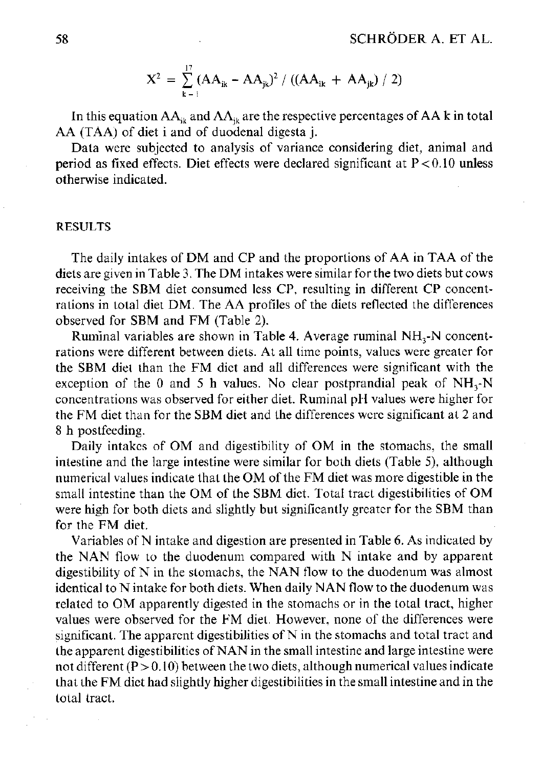$$
X^{2} = \sum_{k=1}^{17} (AA_{ik} - AA_{jk})^{2} / ((AA_{ik} + AA_{jk}) / 2)
$$

In this equation  $AA_{ik}$  and  $AA_{ik}$  are the respective percentages of AA k in total AA (TAA) of diet i and of duodenal digesta j.

Data were subjected to analysis of variance considering diet, animal and period as fixed effects. Diet effects were declared significant at  $P < 0.10$  unless otherwise indicated.

## RESULTS

The daily intakes of DM and CP and the proportions of AA in TAA of the diets are given in Table 3. The DM intakes were similar for the two diets but cows receiving the SBM diet consumed less CP, resulting in different CP concentrations in total diet DM . The AA profiles of the diets reflected the differences observed for SBM and FM (Table 2).

Ruminal variables are shown in Table 4. Average ruminal NH<sub>3</sub>-N concentrations were different between diets. At all time points, values were greater for the SBM diet than the FM diet and all differences were significant with the exception of the 0 and 5 h values. No clear postprandial peak of  $NH<sub>3</sub>$ -N concentrations was observed for either diet. Ruminal pH values were higher for the FM diet than for the SBM diet and the differences were significant at 2 and 8 h postfeeding.

Daily intakes of OM and digestibility of OM in the stomachs, the small intestine and the large intestine were similar for both diets (Table 5), although numerical values indicate that the OM of the FM diet was more digestible in the small intestine than the OM of the SBM diet. Total tract digestibilities of OM were high for both diets and slightly but significantly greater for the SBM than for the FM diet.

Variables of N intake and digestion are presented in Table 6. As indicated by the NAN flow to the duodenum compared with N intake and by apparent digestibility of  $N$  in the stomachs, the NAN flow to the duodenum was almost identical to N intake for both diets. When daily NAN flow to the duodenum was related to OM apparently digested in the stomachs or in the total tract, higher values were observed for the FM diet. However, none of the differences were significant. The apparent digestibilities of  $N$  in the stomachs and total tract and the apparent digestibilities of NAN in the small intestine and large intestine were not different  $(P > 0.10)$  between the two diets, although numerical values indicate that the FM diet had slightly higher digestibilities in the small intestine and in the total tract.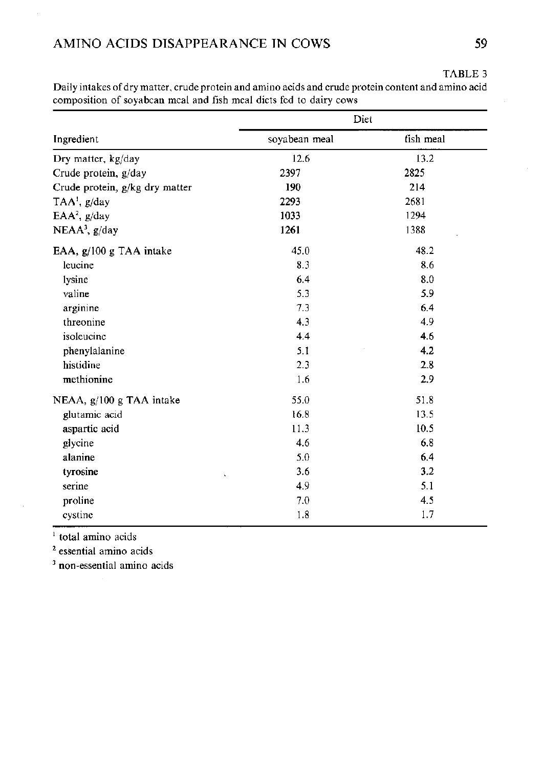# AMINO ACIDS DISAPPEARANCE IN COWS 59

|                                | Diet          |           |  |  |
|--------------------------------|---------------|-----------|--|--|
| Ingredient                     | soyabean meal | fish meal |  |  |
| Dry matter, kg/day             | 12.6          | 13.2      |  |  |
| Crude protein, g/day           | 2397          | 2825      |  |  |
| Crude protein, g/kg dry matter | 190           | 214       |  |  |
| TAA', g/day                    | 2293          | 2681      |  |  |
| EAA <sup>2</sup> , $g/day$     | 1033          | 1294      |  |  |
| $NEAA3$ , g/day                | 1261          | 1388      |  |  |
| EAA, g/100 g TAA intake        | 45.0          | 48.2      |  |  |
| leucine                        | 8.3           | 8.6       |  |  |
| lysine                         | 6.4           | 8.0       |  |  |
| valine                         | 5.3           | 5.9       |  |  |
| arginine                       | 7.3           | 6.4       |  |  |
| threonine                      | 4.3           | 4.9       |  |  |
| isoleucine                     | 4.4           | 4.6       |  |  |
| phenylalanine                  | 5.1           | 4.2       |  |  |
| histidine                      | 2.3           | 2.8       |  |  |
| methionine                     | 1.6           | 2.9       |  |  |
| NEAA, $g/100 g$ TAA intake     | 55.0          | 51.8      |  |  |
| glutamic acid                  | 16.8          | 13.5      |  |  |
| aspartic acid                  | 11.3          | 10.5      |  |  |
| glycine                        | 4.6           | 6.8       |  |  |
| alanine                        | 5.0           | 6.4       |  |  |
| tyrosine<br>$\lambda$          | 3.6           | 3.2       |  |  |
| serine                         | 4.9           | 5.1       |  |  |
| proline                        | 7.0           | 4.5       |  |  |
| cystine                        | 1.8           | 1.7       |  |  |

Daily intakes of dry matter, crude protein and amino acids and crude protein content and amino acid composition of soyabean meal and fish meal diets fed to dairy cows

<sup>1</sup> total amino acids

2 essential amino acids

<sup>3</sup> non-essential amino acids

TABLE 3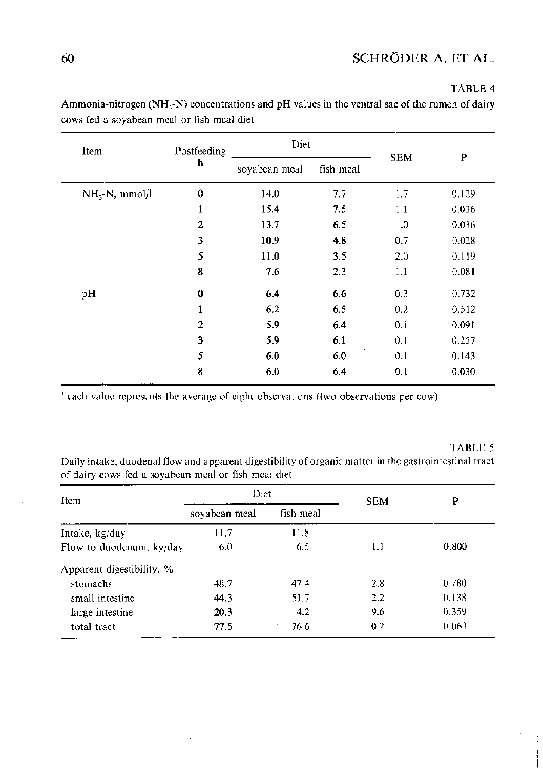TABLE 4

| Item             | Postfeeding    | Diet          |           |            | P     |
|------------------|----------------|---------------|-----------|------------|-------|
|                  | h              | soyabcan meal | fish meal | <b>SEM</b> |       |
| $NH, -N, mmol/l$ | 0              | 14.0          | 7.7       | 1.7        | 0.129 |
|                  | $\mathbf{1}$   | 15.4          | 7.5       | 1.1        | 0.036 |
|                  | 2              | 13.7          | 6.5       | 1.0        | 0.036 |
|                  | 3              | 10.9          | 4.8       | 0.7        | 0.028 |
|                  | 5              | 11.0          | 3.5       | 2.0        | 0.119 |
|                  | 8              | 7.6           | 2.3       | 1.1        | 0.081 |
| pH               | 0              | 6.4           | 6.6       | 0.3        | 0.732 |
|                  | 1              | 6.2           | 6.5       | 0.2        | 0.512 |
|                  | $\overline{2}$ | 5.9           | 6.4       | 0.1        | 0.091 |
|                  | 3              | 5.9           | 6.1       | 0.1        | 0.257 |
|                  | 5              | 6.0           | 6.0       | 0.1        | 0.143 |
|                  | 8              | 6.0           | 6,4       | 0.1        | 0.030 |

Ammonia-nitrogen  $(NH_3-N)$  concentrations and pH values in the ventral sac of the rumen of dairy cows fed a soyabean meal or fish meal diet

<sup>1</sup> each value represents the average of eight observations (two observations per cow)

#### TABLE 5

Daily intake, duodenal flow and apparent digestibility of organic matter in the gastrointestinal tract of dairy cows fed a soyabean meal or fish meal diet

| Item                      | Diet          |           | <b>SEM</b> | P     |
|---------------------------|---------------|-----------|------------|-------|
|                           | soyabean meal | fish meal |            |       |
| Intake, kg/day            | 11.7          | 11.8      |            |       |
| Flow to duodenum, kg/day  | 6.0           | 6.5       | 1.1        | 0.800 |
| Apparent digestibility, % |               |           |            |       |
| stomachs                  | 48.7          | 47.4      | 2.8        | 0.780 |
| small intestine           | 44.3          | 51.7      | 2.2        | 0.138 |
| large intestine           | 20.3          | 4.2       | 9.6        | 0.359 |
| total tract               | 77.5          | 76.6      | 0.2        | 0.063 |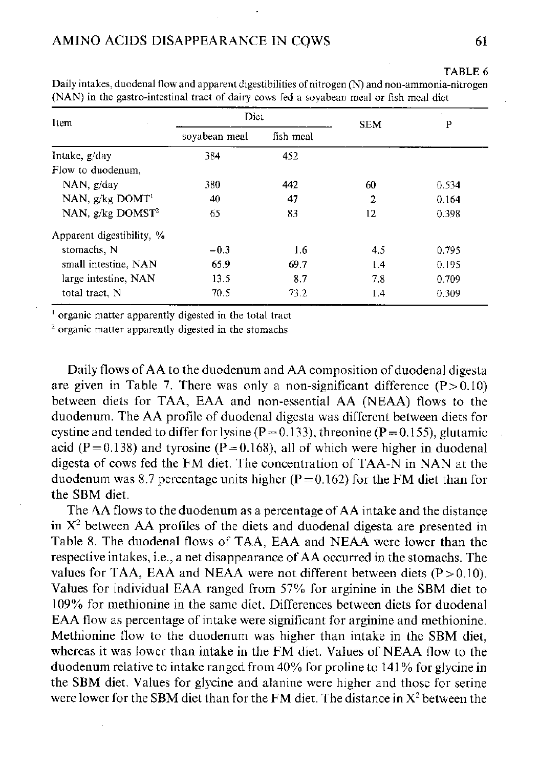| Item                           | Diet          |           | <b>SEM</b> | P     |
|--------------------------------|---------------|-----------|------------|-------|
|                                | soyabean meal | fish meal |            |       |
| Intake, g/day                  | 384           | 452       |            |       |
| Flow to duodenum.              |               |           |            |       |
| $NAN$ , $g/day$                | 380           | 442       | 60         | 0.534 |
| NAN, $g/kg$ DOMT <sup>1</sup>  | 40            | 47        | 2          | 0.164 |
| NAN, $g/kg$ DOMST <sup>2</sup> | 65            | 83        | 12         | 0.398 |
| Apparent digestibility, %      |               |           |            |       |
| stomachs, N                    | $-0.3$        | 1.6       | 4.5        | 0.795 |
| small intestine. NAN           | 65.9          | 69.7      | 1.4        | 0.195 |
| large intestine, NAN           | 13.5          | 8.7       | 7.8        | 0.709 |
| total tract. N                 | 70.5          | 73.2      | 1.4        | 0.309 |

Daily intakes, duodenal flow and apparent digestibilities of nitrogen (N) and non-ammonia-nitrogen (NAN) in the gastro-intestinal tract of dairy cows fed a soyabean meal or fish meal diet

1 organic matter apparently digested in the total tract

<sup>2</sup> organic matter apparently digested in the stomachs

Daily flows of AA to the duodenum and AA composition of duodenal digesta are given in Table 7. There was only a non-significant difference  $(P>0.10)$ between diets for TAA, EAA and non-essential AA (NEAA) flows to the duodenum. The AA profile of duodenal digesta was different between diets for cystine and tended to differ for lysine ( $P = 0.133$ ), threonine ( $P = 0.155$ ), glutamic acid (P = 0.138) and tyrosine (P = 0.168), all of which were higher in duodenal digesta of cows fed the FM diet. The concentration of TAA-N in NAN at the duodenum was 8.7 percentage units higher ( $P = 0.162$ ) for the FM diet than for the SBM diet.

The AA flows to the duodenum as a percentage of AA intake and the distance in  $X<sup>2</sup>$  between AA profiles of the diets and duodenal digesta are presented in Table 8. The duodenal flows of TAA, EAA and NEAA were lower than the respective intakes, i.e., a net disappearance of AA occurred in the stomachs. The values for TAA, EAA and NEAA were not different between diets  $(P>0.10)$ . Values for individual EAA ranged from 57% for arginine in the SBM diet to 109% for methionine in the same diet. Differences between diets for duodenal EAA flow as percentage of intake were significant for arginine and methionine. Methionine flow to the duodenum was higher than intake in the SBM diet, whereas it was lower than intake in the FM diet. Values of NEAA flow to the duodenum relative to intake ranged from 40% for proline to 141 % for glycine in the SBM diet. Values for glycine and alanine were higher and those for serine were lower for the SBM diet than for the FM diet. The distance in  $X^2$  between the

TABLE 6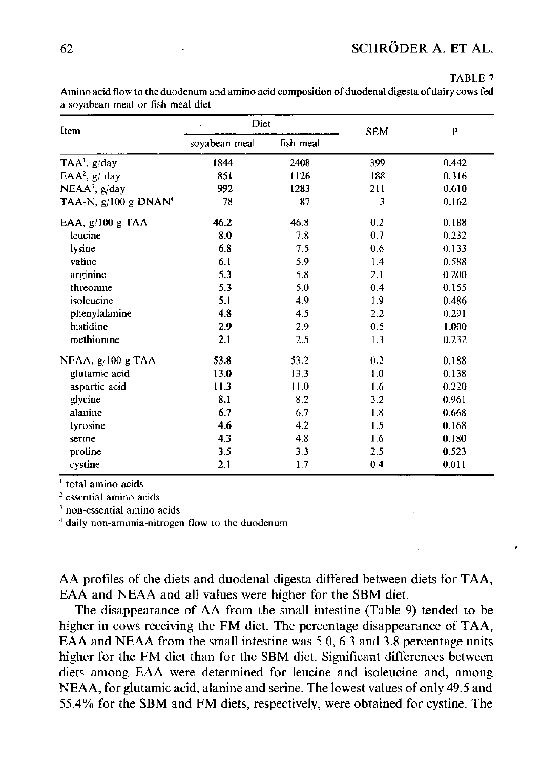# 62 SCHRODER A. ET AL.

#### TABLE 7

Item Diet soyabean meal fish meal SEM P TAA<sup>1</sup>, g/day <sup>1</sup>, g/day 1844 2408 399 0.442 EAA<sup>2</sup>,  $g/day$  $\frac{1}{2}$ , g/ day 851 1126 188 0.316  $NEAA<sup>3</sup>$ , g/day  $992$  1283 211 0.610 TAA-N,  $g/100 g$  DNAN<sup>4</sup> 78 87 3 0.162 EAA, g/100 g TAA 46.2 46.8 0.2 0.188 leucine 8.0 7.8 0.7 0.232 lysine 6.8 7.5 0.6 0.133 valine 6.1 5.9 1.4 0.588 arginine 5.3 5.8 2.1 0.200 threonine 5.3 5.0 0.4 0.155 isoleucine 5.1 4.9 1.9 0.486 phenylalanine 4.8 4.5 2.2 0.291 histidine 2.9 2.9 0.5 1.000

methionine 2.1 2.5 1.3 0.232 NEAA, g/100 g TAA 53.8 53.2 0.2 0.188 glutamic acid 13.0 13.3 1.0 0.138 aspartic acid 11.3 11.0 1.6 0.220 glycine 8.1 8.2 3.2 0.961 alanine 6.7 6.7 1.8 0.668 tyrosine **4.6** 4.2 1.5 0.168 serine **4.3** 4.8 1.6 0.180 proline 3.5 3.3 2.5 0.523 cystine 2.1 1.7 0.4 0.011

Amino acid flow to the duodenum and amino acid composition of duodenal digesta of dairy cows fed a soyabean meal or fish meal diet

1 total amino acids

2 essential amino acids

3 non-essential amino acids

4 daily non-amonia-nitrogen flow to the duodenum

AA profiles of the diets and duodenal digesta differed between diets for TAA, EAA and NEAA and all values were higher for the SBM diet.

The disappearance of AA from the small intestine (Table 9) tended to be higher in cows receiving the FM diet. The percentage disappearance of TAA, EAA and NEAA from the small intestine was 5.0, 6.3 and 3.8 percentage units higher for the FM diet than for the SBM diet. Significant differences between diets among EAA were determined for leucine and isoleucine and, among NEAA, for glutamic acid, alanine and serine. The lowest values of only 49.5 and 55.4% for the SBM and FM diets, respectively, were obtained for cystine. The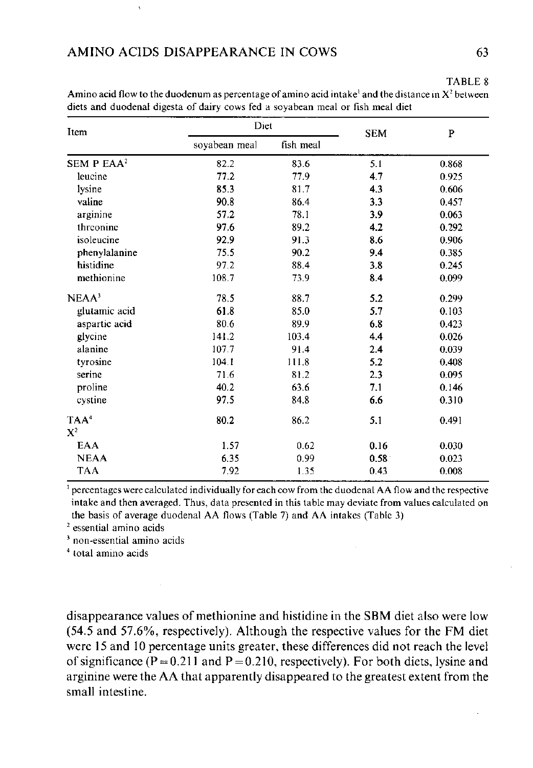# TABLE 8

| Item                   | Diet          |           | <b>SEM</b>        | ${\bf P}$ |
|------------------------|---------------|-----------|-------------------|-----------|
|                        | soyabean meal | fish meal |                   |           |
| SEM P EAA <sup>2</sup> | 82.2          | 83.6      | 5.1               | 0.868     |
| leucine                | 77.2          | 77.9      | 4.7               | 0.925     |
| lysine                 | 85.3          | 81.7      | 4.3               | 0.606     |
| valine                 | 90.8          | 86.4      | 3.3               | 0.457     |
| arginine               | 57.2          | 78.1      | 3.9               | 0.063     |
| threonine              | 976           | 89.2      | 4.2               | 0.292     |
| isoleucine             | 92.9          | 91.3      | 8.6               | 0.906     |
| phenylalanine          | 75.5          | 90.2      | 9.4               | 0.385     |
| histidine              | 97.2          | 88.4      | 3.8               | 0.245     |
| methionine             | 108.7         | 73.9      | 8.4               | 0.099     |
| NEAA <sup>3</sup>      | 78.5          | 88.7      | 5.2               | 0.299     |
| glutamic acid          | 61.8          | 85.0      | 5.7               | 0.103     |
| aspartic acid          | 80.6          | 89.9      | 6.8               | 0.423     |
| glycine                | 141.2         | 103.4     | 4.4               | 0.026     |
| alanine                | 107.7         | 91.4      | 2.4               | 0.039     |
| tyrosine               | 104.1         | 111.8     | 5.2               | 0.408     |
| serine                 | 71.6          | 81.2      | 2.3               | 0.095     |
| proline                | 40.2          | 63.6      | 7.1               | 0.146     |
| cystine                | 97.5          | 84.8      | 6.6               | 0.310     |
| TAA <sup>4</sup>       | 80.2          | 86.2      | 5.1               | 0.491     |
| $X^2$                  |               |           |                   |           |
| <b>EAA</b>             | 1.57          | 0.62      | 0.16              | 0.030     |
| <b>NEAA</b>            | 6.35          | 0.99      | 0.58 <sup>°</sup> | 0.023     |
| <b>TAA</b>             | 7.92          | 1.35      | 0.43              | 0.008     |

Amino acid flow to the duodenum as percentage of amino acid intake and the distance in  $X^2$  between diets and duodenal digesta of dairy cows fed a soyabean meal or fish meal diet

1 percentages were calculated individually for each cow from the duodenal AA flow and the respective intake and then averaged. Thus, data presented in this table may deviate from values calculated on the basis of average duodenal AA flows (Table 7) and AA intakes (Table 3)

2 essential amino acids

3 non-essential amino acids

4 total amino acids

disappearance values of methionine and histidine in the SBM diet also were low (54.5 and 57.6%, respectively). Although the respective values for the FM diet were 15 and 10 percentage units greater, these differences did not reach the level of significance ( $P = 0.211$  and  $P = 0.210$ , respectively). For both diets, lysine and arginine were the AA that apparently disappeared to the greatest extent from the small intestine.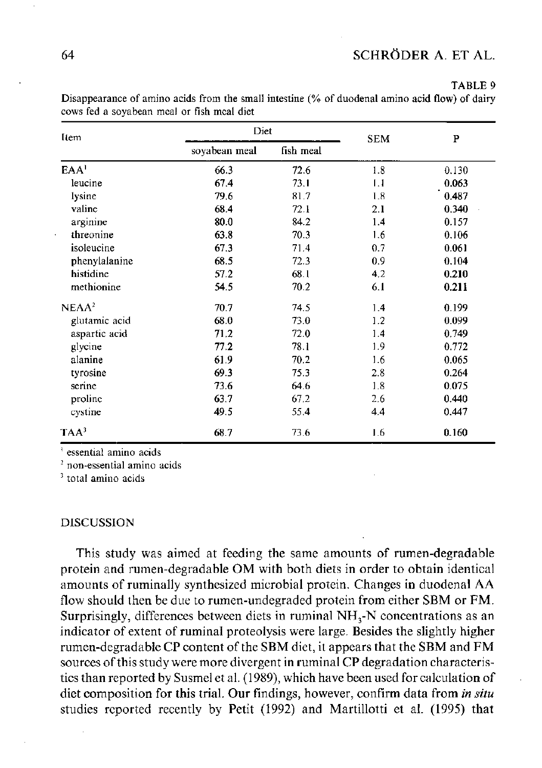#### TABLE 9

| Item              | Diet          |           | <b>SEM</b> | P     |
|-------------------|---------------|-----------|------------|-------|
|                   | soyabean meal | fish meal |            |       |
| EAA <sup>1</sup>  | 66.3          | 72.6      | 1.8        | 0.130 |
| leucine           | 67.4          | 73.1      | 1.1        | 0.063 |
| lysine            | 79.6          | 81.7      | 1.8        | 0.487 |
| valine            | 68.4          | 72.1      | 2.1        | 0.340 |
| arginine          | 80.0          | 84.2      | 1.4        | 0.157 |
| threonine         | 63.8          | 70.3      | 1.6        | 0.106 |
| isoleucine        | 67.3          | 71.4      | 0.7        | 0.061 |
| phenylalanine     | 68.5          | 72.3      | 0.9        | 0.104 |
| histidine         | 57.2          | 68.1      | 4.2        | 0.210 |
| methionine        | 54.5          | 70.2      | 6.1        | 0.211 |
| NEAA <sup>2</sup> | 70.7          | 74.5      | 1.4        | 0.199 |
| glutamic acid     | 68.0          | 73.0      | 1.2        | 0.099 |
| aspartic acid     | 71.2          | 72.0      | 1.4        | 0.749 |
| glycine           | 77.2          | 73.1      | 1.9        | 0.772 |
| alanine           | 61.9          | 70.2      | 1.6        | 0.065 |
| tyrosine          | 69.3          | 75.3      | 2.8        | 0.264 |
| serine            | 73.6          | 64.6      | 1.8        | 0.075 |
| proline           | 63.7          | 67.2      | 2.6        | 0.440 |
| cystine           | 49.5          | 55.4      | 4.4        | 0.447 |
| $TAA^3$           | 68.7          | 73.6      | 1.6        | 0.160 |

Disappearance of amino acids from the small intestine (% of duodenal amino acid flow) of dairy cows fed a soyabean meal or fish meal diet

1 essential amino acids

2 non-essential amino acids

<sup>3</sup> total amino acids

## DISCUSSION

This study was aimed at feeding the same amounts of rumen-degradable protein and rumen-degradable OM with both diets in order to obtain identical amounts of ruminally synthesized microbial protein. Changes in duodenal AA flow should then be due to rumen-undegraded protein from either SBM or FM. Surprisingly, differences between diets in ruminal  $NH<sub>3</sub>-N$  concentrations as an indicator of extent of ruminal proteolysis were large. Besides the slightly higher rumen-degradable CP content of the SBM diet, it appears that the SBM and FM sources of this study were more divergent in ruminal CP degradation characteristics than reported by Susmel et al. (1989), which have been used for calculation of diet composition for this trial. Our findings, however, confirm data from *in situ*  studies reported recently by Petit (1992) and Martillotti et al. (1995) that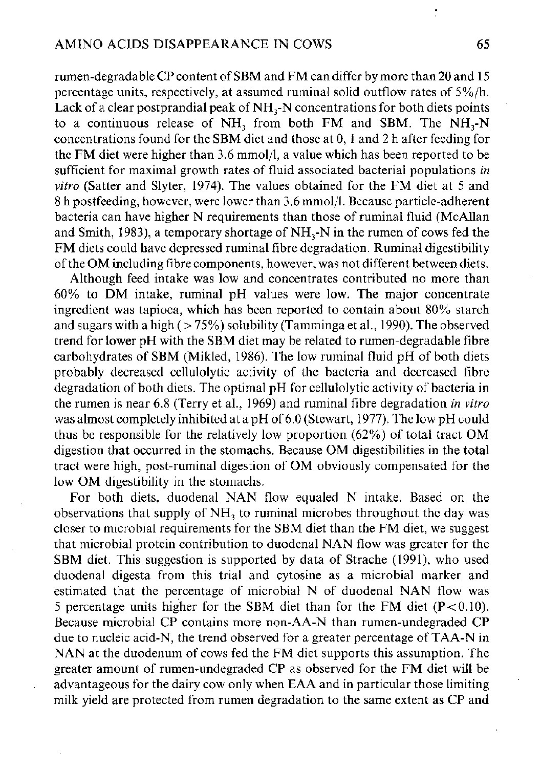rumen-degradable CP content of SBM and FM can differ by more than 20 and 15 percentage units, respectively, at assumed ruminal solid outflow rates of 5%/h. Lack of a clear postprandial peak of  $NH<sub>3</sub>-N$  concentrations for both diets points to a continuous release of NH<sub>3</sub> from both FM and SBM. The NH<sub>3</sub>-N concentrations found for the SBM diet and those at 0, 1 and 2 h after feeding for the FM diet were higher than 3.6 mmol/1, a value which has been reported to be sufficient for maximal growth rates of fluid associated bacterial populations *in vitro* (Satter and Slyter, 1974). The values obtained for the FM diet at 5 and 8 h postfeeding, however, were lower than 3.6 mmol/1. Because particle-adherent bacteria can have higher N requirements than those of ruminal fluid (McAllan and Smith, 1983), a temporary shortage of  $NH<sub>2</sub>-N$  in the rumen of cows fed the FM diets could have depressed ruminal fibre degradation. Ruminal digestibility of the OM including fibre components, however, was not different between diets.

Although feed intake was low and concentrates contributed no more than  $60\%$  to DM intake, ruminal pH values were low. The major concentrate ingredient was tapioca, which has been reported to contain about 80% starch and sugars with a high  $($  >  $75\%)$  solubility (Tamminga et al., 1990). The observed trend for lower pH with the SBM diet may be related to rumen-degradable fibre carbohydrates of SBM (Mikled, 1986). The low ruminal fluid pH of both diets probably decreased cellulolytic activity of the bacteria and decreased fibre degradation of both diets. The optimal pH for cellulolytic activity of bacteria in the rumen is near 6.8 (Terry et al., 1969) and ruminal fibre degradation *in vitro*  was almost completely inhibited at a pH of 6.0 (Stewart, 1977). The low pH could thus be responsible for the relatively low proportion (62%) of total tract OM digestion that occurred in the stomachs. Because OM digestibilities in the total tract were high, post-ruminal digestion of OM obviously compensated for the low OM digestibility in the stomachs.

For both diets, duodenal NAN flow equaled N intake. Based on the observations that supply of NH<sub>3</sub> to ruminal microbes throughout the day was closer to microbial requirements for the SBM diet than the FM diet, we suggest that microbial protein contribution to duodenal NAN flow was greater for the SBM diet. This suggestion is supported by data of Strache (1991), who used duodenal digesta from this trial and cytosine as a microbial marker and estimated that the percentage of microbial N of duodenal NAN flow was 5 percentage units higher for the SBM diet than for the FM diet  $(P<0.10)$ . Because microbial CP contains more non-AA-N than rumen-undegraded CP due to nucleic acid-N, the trend observed for a greater percentage of TAA-N in NAN at the duodenum of cows fed the FM diet supports this assumption. The greater amount of rumen-undegraded CP as observed for the FM diet will be advantageous for the dairy cow only when EAA and in particular those limiting milk yield are protected from rumen degradation to the same extent as CP and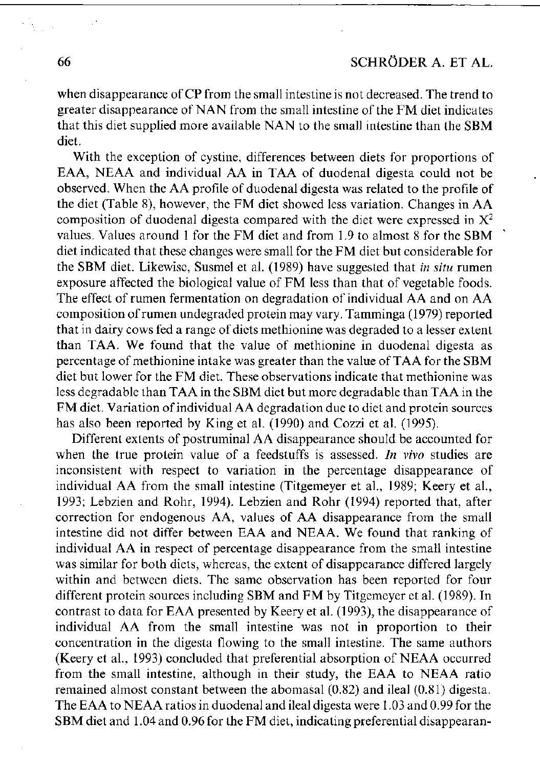when disappearance of CP from the small intestine is not decreased. The trend to greater disappearance of NAN from the small intestine of the FM diet indicates that this diet supplied more available NAN to the small intestine than the SBM diet.

With the exception of cystine, differences between diets for proportions of EAA, NEAA and individual AA in TAA of duodenal digesta could not be observed. When the AA profile of duodenal digesta was related to the profile of the diet (Table 8), however, the FM diet showed less variation. Changes in AA composition of duodenal digesta compared with the diet were expressed in  $X^2$ values. Values around 1 for the FM diet and from 1.9 to almost 8 for the SBM diet indicated that these changes were small for the FM diet but considerable for the SBM diet. Likewise, Susmel et al. (1989) have suggested that *in situ* rumen exposure affected the biological value of FM less than that of vegetable foods. The effect of rumen fermentation on degradation of individual AA and on AA composition of rumen undegraded protein may vary. Tamminga (1979) reported that in dairy cows fed a range of diets methionine was degraded to a lesser extent than TAA. We found that the value of methionine in duodenal digesta as percentage of methionine intake was greater than the value of TAA for the SBM diet but lower for the FM diet. These observations indicate that methionine was less degradable than TAA in the SBM diet but more degradable than TAA in the FM diet. Variation of individual AA degradation due to diet and protein sources has also been reported by King et al. (1990) and Cozzi et al. (1995).

Different extents of postruminal AA disappearance should be accounted for when the true protein value of a feedstuffs is assessed. *In vivo* studies are inconsistent with respect to variation in the percentage disappearance of individual AA from the small intestine (Titgemeyer et al., 1989; Keery et al., 1993; Lebzien and Rohr, 1994). Lebzien and Rohr (1994) reported that, after correction for endogenous AA, values of AA disappearance from the small intestine did not differ between EAA and NEAA. We found that ranking of individual AA in respect of percentage disappearance from the small intestine was similar for both diets, whereas, the extent of disappearance differed largely within and between diets. The same observation has been reported for four different protein sources including SBM and FM by Titgemeyer et al. (1989). In contrast to data for EAA presented by Keery et al. (1993), the disappearance of individual AA from the small intestine was not in proportion to their concentration in the digesta flowing to the small intestine. The same authors (Keery et al., 1993) concluded that preferential absorption of NEAA occurred from the small intestine, although in their study, the EAA to NEAA ratio remained almost constant between the abomasal (0.82) and ileal (0.81) digesta. The EAA to NEAA ratios in duodenal and ileal digesta were 1.03 and 0.99 for the SBM diet and 1.04 and 0.96 for the FM diet, indicating preferential disappearan-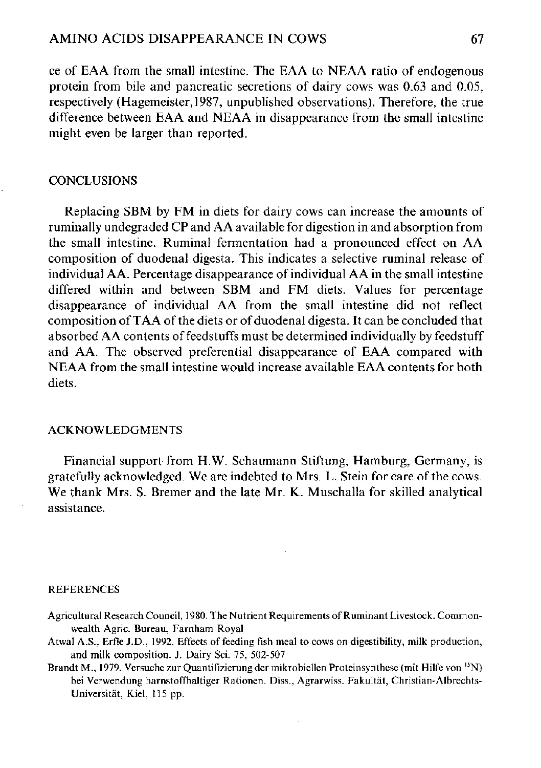ce of EAA from the small intestine. The EAA to NEAA ratio of endogenous protein from bile and pancreatic secretions of dairy cows was 0.63 and 0.05, respectively (Hagemeister,1987, unpublished observations). Therefore, the true difference between EAA and NEAA in disappearance from the small intestine might even be larger than reported.

## **CONCLUSIONS**

Replacing SBM by FM in diets for dairy cows can increase the amounts of ruminally undegraded CP and AA available for digestion in and absorption from the small intestine. Ruminal fermentation had a pronounced effect on AA composition of duodenal digesta. This indicates a selective ruminal release of individual AA. Percentage disappearance of individual AA in the small intestine differed within and between SBM and FM diets. Values for percentage disappearance of individual AA from the small intestine did not reflect composition of TAA of the diets or of duodenal digesta. It can be concluded that absorbed AA contents of feedstuffs must be determined individually by feedstuff and AA. The observed preferential disappearance of EAA compared with NEAA from the small intestine would increase available EAA contents for both diets.

### ACKNOWLEDGMENTS

Financial support from H.W. Schaumann Stiftung, Hamburg, Germany, is gratefully acknowledged. We are indebted to Mrs. L. Stein for care of the cows. We thank Mrs. S. Bremer and the late Mr. K. Muschalla for skilled analytical assistance.

#### REFERENCES

- Agricultural Research Council, 1980. The Nutrient Requirements of Ruminant Livestock. Commonwealth Agric. Bureau, Farnham Royal
- Atwal A.S., Erfle J.D., 1992. Effects of feeding fish meal to cows on digestibility, milk production, and milk composition. J. Dairy Sei. 75, 502-507
- Brandt M., 1979. Versuche zur Quantifizierung der mikrobiellen Proteinsynthese (mit Hilfe von <sup>15</sup>N) bei Verwendung harnstoffhaltiger Rationen. Diss., Agrarwiss. Fakultät, Christian-Albrechts-Universität, Kiel, 115 pp.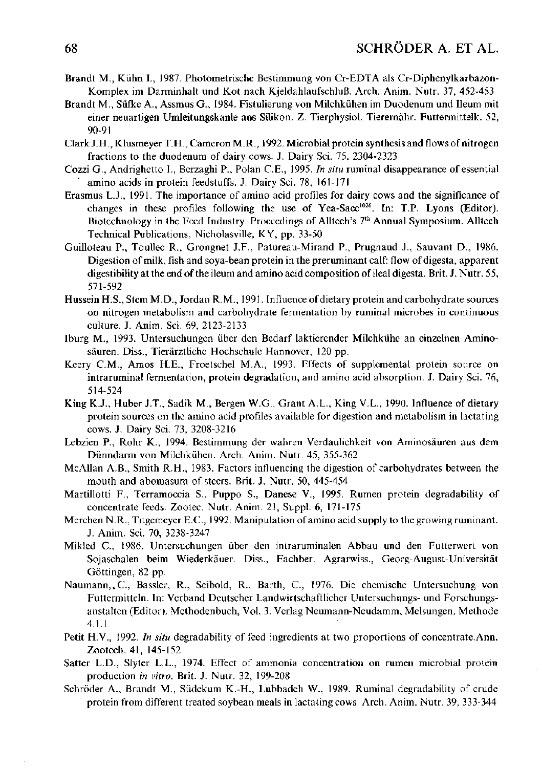- Brandt M. , Kühn I. , 1987. Photometrische Bestimmung von Cr-EDTA als Cr-Diphenylkarbazon-Komplex im Darminhalt und Kot nach Kjeldahlaufschluß. Arch. Anim. Nutr. 37, 452-453
- Brandt M. , Süfke A., Assmus G., 1984. Fistulierung von Milchkühen im Duodenum und Ileum mit einer neuartigen Umleitungskanle aus Silikon. Z. Tierphysiol. Tierernähr. Futtermittelk. 52, 90-91
- Clark J.H., Klusmeyer T.H., Cameron M.R., 1992. Microbial protein synthesis and flows of nitrogen fractions to the duodenum of dairy cows. J. Dairy Sei. 75, 2304-2323
- Cozzi G., Andrighetto I. , Berzaghi P., Polan C.E., 1995. *In situ* ruminal disappearance of essential amino acids in protein feedstuffs. J. Dairy Sei. 78, 161-171
- Erasmus L.J., 1991. The importance of amino acid profiles for dairy cows and the significance of changes in these profiles following the use of Yea-Sacc<sup>1026</sup>. In: T.P. Lyons (Editor). Biotechnology in the Feed Industry. Proceedings of Alltech's 7<sup>th</sup> Annual Symposium. Alltech Technical Publications, Nicholasville, KY, pp. 33-50
- Guilloteau P., Toullec R., Grongnet J.F., Patureau-Mirand P., Prugnaud J., Sauvant D., 1986. Digestion of milk, fish and soya-bean protein in the preruminant calf: flow of digesta, apparent digestibility at the end of the ileum and amino acid composition of ileal digesta. Brit. J. Nutr. 55, 571-592
- Hussein H.S., Stem M.D., Jordan R.M., 1991. Influence of dietary protein and carbohydrate sources on nitrogen metabolism and carbohydrate fermentation by ruminal microbes in continuous culture. J. Anim. Sei. 69, 2123-2133
- Iburg M. , 1993. Untersuchungen über den Bedarf laktierender Milchkühe an einzelnen Aminosäuren. Diss., Tierärztliche Hochschule Hannover, 120 pp.
- Keery CM. , Amos H.E., Froetschel M.A., 1993. Efferts of supplemental protein source on intraruminal fermentation, protein degradation, and amino acid absorption. J. Dairy Sei. 76, 514-524
- King K.J., Huber J.T., Sadik M. , Bergen W.G., Grant A.L., King V.L., 1990. Influence of dietary protein sources on the amino acid profiles available for digestion and metabolism in lactating cows. J. Dairy Sei. 73, 3208-3216
- Lebzien P., Rohr K., 1994. Bestimmung der wahren Verdaulichkeit von Aminosäuren aus dem Dünndarm von Milchkühen. Arch. Anim. Nutr. 45, 355-362
- McAllan A.B., Smith R.H., 1983. Factors influencing the digestion of carbohydrates between the mouth and abomasum of steers. Brit. J. Nutr. 50, 445-454
- Martillotti F., Terramoccia S., Puppo S., Danese V., 1995. Rumen protein degradability of concentrate feeds. Zootec. Nutr. Anim. 21, Suppl. 6, 171-175
- Merchen N.R., Titgemeyer E.C., 1992. Manipulation of amino acid supply to the growing ruminant. J. Anim. Sei. 70, 3238-3247
- Mikled C, 1986. Untersuchungen über den intraruminalen Abbau und den Futterwert von Sojaschalen beim Wiederkäuer. Diss., Fachber. Agrarwiss., Georg-August-Universität Göttingen, 82 pp.
- Naumann,.C, Bassler, R., Seibold, R., Barth, C, 1976. Die chemische Untersuchung von Futtermitteln. In: Verband Deutscher Landwirtschaftlicher Untersuchungs- und Forschungsanstalten (Editor). Methodenbuch, Vol. 3. Verlag Neumann-Neudamm, Melsungen, Methode 4.1.1
- Petit H.V., 1992. *In situ* degradability of feed ingredients at two proportions of concentrate.Ann. Zootech. 41, 145-152
- Satter L.D., Slyter L.L., 1974. Effect of ammonia concentration on rumen microbial protein production *in vitro.* Brit. J. Nutr. 32, 199-208
- Schröder A., Brandt M. , Südekum K.-H., Lubbadeh W., 1989. Ruminal degradability of crude protein from different treated soybean meals in lactating cows. Arch. Anim. Nutr. 39, 333-344